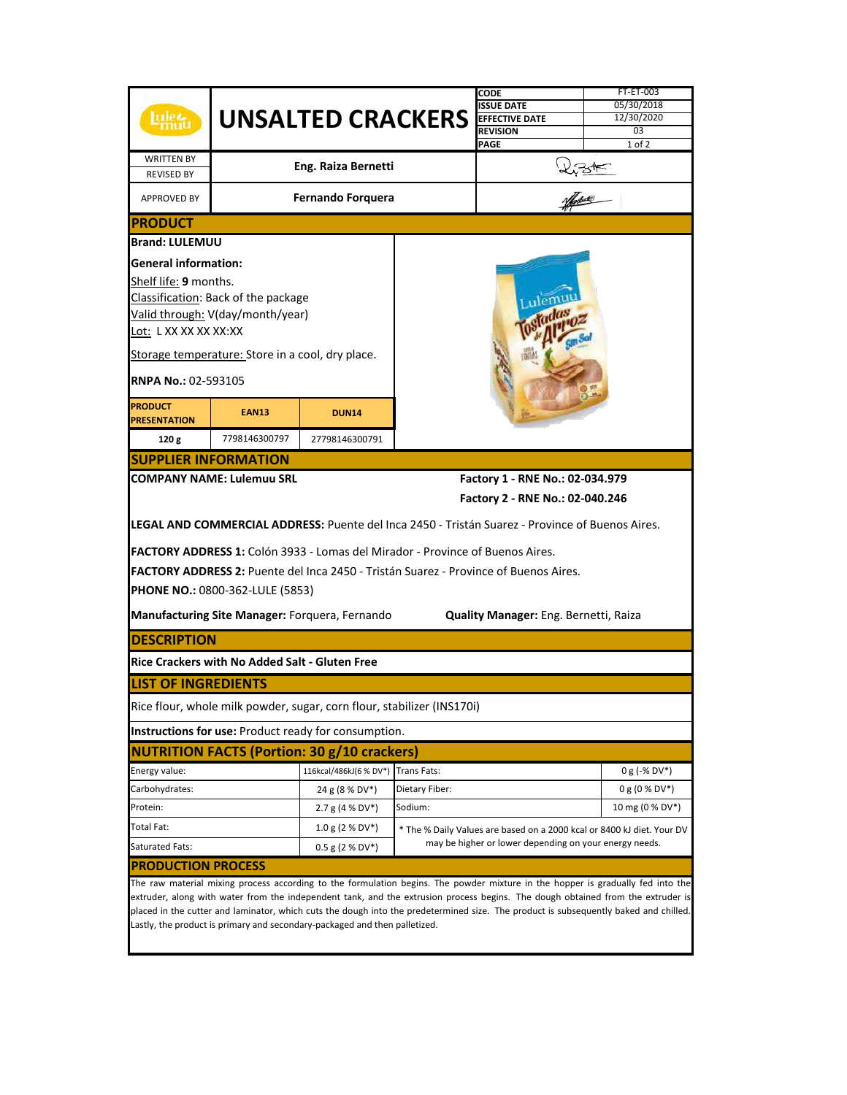|                                                                                                                                                                                                                                                                         |                                                  |                                                                        |                                                        | CODE                                                                                            | FT-ET-003        |  |  |  |
|-------------------------------------------------------------------------------------------------------------------------------------------------------------------------------------------------------------------------------------------------------------------------|--------------------------------------------------|------------------------------------------------------------------------|--------------------------------------------------------|-------------------------------------------------------------------------------------------------|------------------|--|--|--|
|                                                                                                                                                                                                                                                                         | <b>UNSALTED CRACKERS</b> EFFECTIVE DATE          |                                                                        |                                                        | <b>ISSUE DATE</b>                                                                               | 05/30/2018       |  |  |  |
|                                                                                                                                                                                                                                                                         |                                                  |                                                                        |                                                        |                                                                                                 | 12/30/2020       |  |  |  |
|                                                                                                                                                                                                                                                                         |                                                  |                                                                        |                                                        | <b>REVISION</b>                                                                                 | 0 <sub>3</sub>   |  |  |  |
|                                                                                                                                                                                                                                                                         |                                                  |                                                                        |                                                        | <b>PAGE</b>                                                                                     | $1$ of $2$       |  |  |  |
| <b>WRITTEN BY</b>                                                                                                                                                                                                                                                       |                                                  |                                                                        |                                                        |                                                                                                 |                  |  |  |  |
| <b>REVISED BY</b>                                                                                                                                                                                                                                                       | Eng. Raiza Bernetti                              |                                                                        |                                                        |                                                                                                 |                  |  |  |  |
| <b>APPROVED BY</b>                                                                                                                                                                                                                                                      | <b>Fernando Forquera</b>                         |                                                                        |                                                        |                                                                                                 |                  |  |  |  |
| <b>PRODUCT</b>                                                                                                                                                                                                                                                          |                                                  |                                                                        |                                                        |                                                                                                 |                  |  |  |  |
| <b>Brand: LULEMUU</b>                                                                                                                                                                                                                                                   |                                                  |                                                                        |                                                        |                                                                                                 |                  |  |  |  |
| <b>General information:</b>                                                                                                                                                                                                                                             |                                                  |                                                                        |                                                        |                                                                                                 |                  |  |  |  |
| Shelf life: 9 months.                                                                                                                                                                                                                                                   |                                                  |                                                                        |                                                        |                                                                                                 |                  |  |  |  |
|                                                                                                                                                                                                                                                                         | Classification: Back of the package              |                                                                        |                                                        |                                                                                                 |                  |  |  |  |
|                                                                                                                                                                                                                                                                         |                                                  |                                                                        |                                                        |                                                                                                 |                  |  |  |  |
|                                                                                                                                                                                                                                                                         | Valid through: V(day/month/year)                 |                                                                        |                                                        |                                                                                                 |                  |  |  |  |
| Lot: L XX XX XX XX:XX                                                                                                                                                                                                                                                   |                                                  |                                                                        |                                                        |                                                                                                 |                  |  |  |  |
|                                                                                                                                                                                                                                                                         | Storage temperature: Store in a cool, dry place. |                                                                        |                                                        |                                                                                                 |                  |  |  |  |
| RNPA No.: 02-593105                                                                                                                                                                                                                                                     |                                                  |                                                                        |                                                        |                                                                                                 |                  |  |  |  |
| <b>PRODUCT</b>                                                                                                                                                                                                                                                          |                                                  |                                                                        |                                                        |                                                                                                 |                  |  |  |  |
| <b>PRESENTATION</b>                                                                                                                                                                                                                                                     | <b>EAN13</b>                                     | <b>DUN14</b>                                                           |                                                        |                                                                                                 |                  |  |  |  |
| 120g                                                                                                                                                                                                                                                                    | 7798146300797                                    | 27798146300791                                                         |                                                        |                                                                                                 |                  |  |  |  |
|                                                                                                                                                                                                                                                                         | <b>SUPPLIER INFORMATION</b>                      |                                                                        |                                                        |                                                                                                 |                  |  |  |  |
|                                                                                                                                                                                                                                                                         | <b>COMPANY NAME: Lulemuu SRL</b>                 |                                                                        |                                                        | Factory 1 - RNE No.: 02-034.979                                                                 |                  |  |  |  |
|                                                                                                                                                                                                                                                                         |                                                  |                                                                        |                                                        | Factory 2 - RNE No.: 02-040.246                                                                 |                  |  |  |  |
|                                                                                                                                                                                                                                                                         |                                                  |                                                                        |                                                        | LEGAL AND COMMERCIAL ADDRESS: Puente del Inca 2450 - Tristán Suarez - Province of Buenos Aires. |                  |  |  |  |
| FACTORY ADDRESS 1: Colón 3933 - Lomas del Mirador - Province of Buenos Aires.                                                                                                                                                                                           |                                                  |                                                                        |                                                        |                                                                                                 |                  |  |  |  |
|                                                                                                                                                                                                                                                                         |                                                  |                                                                        |                                                        | FACTORY ADDRESS 2: Puente del Inca 2450 - Tristán Suarez - Province of Buenos Aires.            |                  |  |  |  |
|                                                                                                                                                                                                                                                                         | <b>PHONE NO.: 0800-362-LULE (5853)</b>           |                                                                        |                                                        |                                                                                                 |                  |  |  |  |
|                                                                                                                                                                                                                                                                         |                                                  |                                                                        |                                                        |                                                                                                 |                  |  |  |  |
|                                                                                                                                                                                                                                                                         |                                                  | Manufacturing Site Manager: Forquera, Fernando                         |                                                        | Quality Manager: Eng. Bernetti, Raiza                                                           |                  |  |  |  |
| <b>DESCRIPTION</b>                                                                                                                                                                                                                                                      |                                                  |                                                                        |                                                        |                                                                                                 |                  |  |  |  |
|                                                                                                                                                                                                                                                                         | Rice Crackers with No Added Salt - Gluten Free   |                                                                        |                                                        |                                                                                                 |                  |  |  |  |
| <b>LIST OF INGREDIENTS</b>                                                                                                                                                                                                                                              |                                                  |                                                                        |                                                        |                                                                                                 |                  |  |  |  |
|                                                                                                                                                                                                                                                                         |                                                  | Rice flour, whole milk powder, sugar, corn flour, stabilizer (INS170i) |                                                        |                                                                                                 |                  |  |  |  |
| <b>Instructions for use: Product ready for consumption.</b>                                                                                                                                                                                                             |                                                  |                                                                        |                                                        |                                                                                                 |                  |  |  |  |
|                                                                                                                                                                                                                                                                         |                                                  | <b>NUTRITION FACTS (Portion: 30 g/10 crackers)</b>                     |                                                        |                                                                                                 |                  |  |  |  |
| Energy value:                                                                                                                                                                                                                                                           |                                                  | 116kcal/486kJ(6 % DV*) Trans Fats:                                     |                                                        |                                                                                                 | $0 g (-\% DV^*)$ |  |  |  |
| Carbohydrates:                                                                                                                                                                                                                                                          |                                                  | 24 g (8 % DV*)                                                         | Dietary Fiber:                                         |                                                                                                 | $0 g (0 % DV*)$  |  |  |  |
| Protein:                                                                                                                                                                                                                                                                |                                                  | 2.7 g (4 % DV*)                                                        | Sodium:                                                |                                                                                                 | 10 mg (0 % DV*)  |  |  |  |
| Total Fat:                                                                                                                                                                                                                                                              |                                                  | $1.0 g (2 % DV*)$                                                      |                                                        | * The % Daily Values are based on a 2000 kcal or 8400 kJ diet. Your DV                          |                  |  |  |  |
| Saturated Fats:                                                                                                                                                                                                                                                         |                                                  | $0.5$ g (2 % DV*)                                                      | may be higher or lower depending on your energy needs. |                                                                                                 |                  |  |  |  |
| <b>PRODUCTION PROCESS</b>                                                                                                                                                                                                                                               |                                                  |                                                                        |                                                        |                                                                                                 |                  |  |  |  |
| The raw material mixing process according to the formulation begins. The powder mixture in the hopper is gradually fed into the                                                                                                                                         |                                                  |                                                                        |                                                        |                                                                                                 |                  |  |  |  |
| extruder, along with water from the independent tank, and the extrusion process begins. The dough obtained from the extruder is<br>placed in the cutter and laminator, which cuts the dough into the predetermined size. The product is subsequently baked and chilled. |                                                  |                                                                        |                                                        |                                                                                                 |                  |  |  |  |
|                                                                                                                                                                                                                                                                         |                                                  |                                                                        |                                                        |                                                                                                 |                  |  |  |  |
| Lastly, the product is primary and secondary-packaged and then palletized.                                                                                                                                                                                              |                                                  |                                                                        |                                                        |                                                                                                 |                  |  |  |  |
|                                                                                                                                                                                                                                                                         |                                                  |                                                                        |                                                        |                                                                                                 |                  |  |  |  |